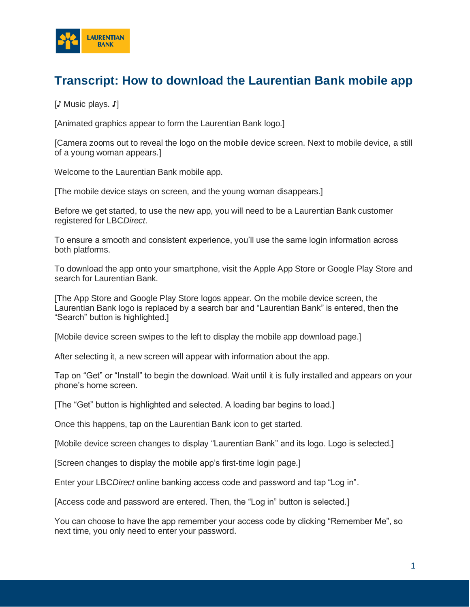

## **Transcript: How to download the Laurentian Bank mobile app**

[♪ Music plays. ♪]

[Animated graphics appear to form the Laurentian Bank logo.]

[Camera zooms out to reveal the logo on the mobile device screen. Next to mobile device, a still of a young woman appears.]

Welcome to the Laurentian Bank mobile app.

[The mobile device stays on screen, and the young woman disappears.]

Before we get started, to use the new app, you will need to be a Laurentian Bank customer registered for LBC*Direct*.

To ensure a smooth and consistent experience, you'll use the same login information across both platforms.

To download the app onto your smartphone, visit the Apple App Store or Google Play Store and search for Laurentian Bank.

[The App Store and Google Play Store logos appear. On the mobile device screen, the Laurentian Bank logo is replaced by a search bar and "Laurentian Bank" is entered, then the "Search" button is highlighted.]

[Mobile device screen swipes to the left to display the mobile app download page.]

After selecting it, a new screen will appear with information about the app.

Tap on "Get" or "Install" to begin the download. Wait until it is fully installed and appears on your phone's home screen.

[The "Get" button is highlighted and selected. A loading bar begins to load.]

Once this happens, tap on the Laurentian Bank icon to get started.

[Mobile device screen changes to display "Laurentian Bank" and its logo. Logo is selected.]

[Screen changes to display the mobile app's first-time login page.]

Enter your LBC*Direct* online banking access code and password and tap "Log in".

[Access code and password are entered. Then, the "Log in" button is selected.]

You can choose to have the app remember your access code by clicking "Remember Me", so next time, you only need to enter your password.